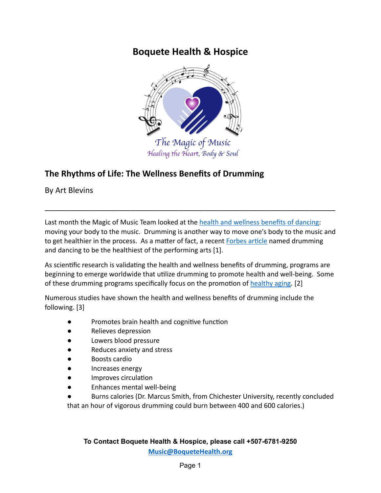# **Boquete Health & Hospice**



## **The Rhythms of Life: The Wellness Benefits of Drumming**

By Art Blevins

Last month the Magic of Music Team looked at the health [and wellness benefits of dancing:](https://boquetehealth.org/shake-your-booty) moving your body to the music. Drumming is another way to move one's body to the music and to get healthier in the process. As a matter of fact, a recent Forbes article named drumming and dancing to be the healthiest of the performing arts [1].

\_\_\_\_\_\_\_\_\_\_\_\_\_\_\_\_\_\_\_\_\_\_\_\_\_\_\_\_\_\_\_\_\_\_\_\_\_\_\_\_\_\_\_\_\_\_\_\_\_\_\_\_\_\_\_\_\_\_\_\_\_\_\_\_\_\_\_

As scientific research is validating the health and wellness benefits of drumming, programs are beginning to emerge worldwide that utilize drumming to promote health and well-being. Some of these drumming programs specifically focus on the promotion of [healthy aging](https://sustainingrhythms.com.au/health-wellness-programmes/). [2]

Numerous studies have shown the health and wellness benefits of drumming include the following. [3]

- Promotes brain health and cognitive function
- Relieves depression
- Lowers blood pressure
- Reduces anxiety and stress
- Boosts cardio
- Increases energy
- Improves circulation
- **Enhances mental well-being**
- Burns calories (Dr. Marcus Smith, from Chichester University, recently concluded that an hour of vigorous drumming could burn between 400 and 600 calories.)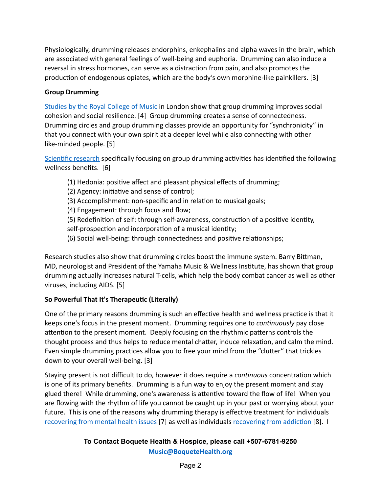Physiologically, drumming releases endorphins, enkephalins and alpha waves in the brain, which are associated with general feelings of well-being and euphoria. Drumming can also induce a reversal in stress hormones, can serve as a distraction from pain, and also promotes the production of endogenous opiates, which are the body's own morphine-like painkillers. [3]

## **Group Drumming**

[Studies by the Royal College of Music](https://www.rcm.ac.uk/about/news/all/2016-03-16rcmfindsdrumminghaspositiveimpactonmentalhealth.aspx) in London show that group drumming improves social cohesion and social resilience. [4] Group drumming creates a sense of connectedness. Drumming circles and group drumming classes provide an opportunity for "synchronicity" in that you connect with your own spirit at a deeper level while also connecting with other like-minded people. [5]

Scientific research specifically focusing on group drumming activities has identified the following wellness benefits. [6]

- (1) Hedonia: positive affect and pleasant physical effects of drumming;
- (2) Agency: initiative and sense of control;
- (3) Accomplishment: non-specific and in relation to musical goals;
- (4) Engagement: through focus and flow;
- (5) Redefinition of self: through self-awareness, construction of a positive identity,
- self-prospection and incorporation of a musical identity;
- (6) Social well-being: through connectedness and positive relationships;

Research studies also show that drumming circles boost the immune system. Barry Bittman, MD, neurologist and President of the Yamaha Music & Wellness Institute, has shown that group drumming actually increases natural T-cells, which help the body combat cancer as well as other viruses, including AIDS. [5]

## **So Powerful That It's Therapeutic (Literally)**

One of the primary reasons drumming is such an effective health and wellness practice is that it keeps one's focus in the present moment. Drumming requires one to *continuously* pay close attention to the present moment. Deeply focusing on the rhythmic patterns controls the thought process and thus helps to reduce mental chatter, induce relaxation, and calm the mind. Even simple drumming practices allow you to free your mind from the "clutter" that trickles down to your overall well-being. [3]

Staying present is not difficult to do, however it does require a *continuous* concentration which is one of its primary benefits. Drumming is a fun way to enjoy the present moment and stay glued there! While drumming, one's awareness is attentive toward the flow of life! When you are flowing with the rhythm of life you cannot be caught up in your past or worrying about your future. This is one of the reasons why drumming therapy is effective treatment for individuals [recovering from mental health issues](https://psywb.springeropen.com/track/pdf/10.1186/s13612-016-0048-0.pdf) [7] as well as individuals recovering from addiction [8]. I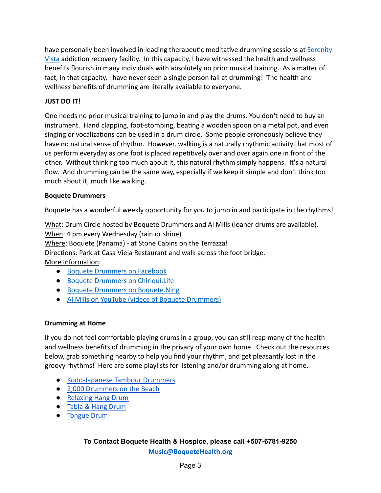have personally been involved in leading therapeutic meditative drumming sessions at [Serenity](https://serenityvista.com/) [Vista](https://serenityvista.com/) addiction recovery facility. In this capacity, I have witnessed the health and wellness benefits flourish in many individuals with absolutely no prior musical training. As a matter of fact, in that capacity, I have never seen a single person fail at drumming! The health and wellness benefits of drumming are literally available to everyone.

## **JUST DO IT!**

One needs no prior musical training to jump in and play the drums. You don't need to buy an instrument. Hand clapping, foot-stomping, beating a wooden spoon on a metal pot, and even singing or vocalizations can be used in a drum circle. Some people erroneously believe they have no natural sense of rhythm. However, walking is a naturally rhythmic activity that most of us perform everyday as one foot is placed repetitively over and over again one in front of the other. Without thinking too much about it, this natural rhythm simply happens. It's a natural flow. And drumming can be the same way, especially if we keep it simple and don't think too much about it, much like walking.

#### **Boquete Drummers**

Boquete has a wonderful weekly opportunity for you to jump in and participate in the rhythms!

What: Drum Circle hosted by Boquete Drummers and Al Mills (loaner drums are available). When: 4 pm every Wednesday (rain or shine) Where: Boquete (Panama) - at Stone Cabins on the Terrazza! Directions: Park at Casa Vieja Restaurant and walk across the foot bridge. More Information:

- [Boquete Drummers on Facebook](https://www.facebook.com/groups/281105002425065)
- [Boquete Drummers on Chiriqui.Life](https://chiriqui.life/calendar/event/1614-boquete-drummers-weekly-drum-circle/)
- [Boquete Drummers on Boquete.Ning](https://boquete.ning.com/events/boquete-drummers-weekly-drum-circle)
- [Al Mills on YouTube \(videos of Boquete Drummers\)](https://www.youtube.com/channel/UC5QXAfBwB0nkiK0m_kxXXHA)

#### **Drumming at Home**

If you do not feel comfortable playing drums in a group, you can still reap many of the health and wellness benefits of drumming in the privacy of your own home. Check out the resources below, grab something nearby to help you find your rhythm, and get pleasantly lost in the groovy rhythms! Here are some playlists for listening and/or drumming along at home.

- [Kodo-Japanese Tambour Drummers](https://www.youtube.com/watch?v=C7HL5wYqAbU&t=11s)
- [2,000 Drummers on the Beach](https://www.youtube.com/watch?v=1O3xjhC9MHU)
- [Relaxing Hang Drum](https://www.youtube.com/watch?v=c0hx_T6ztbs)
- [Tabla & Hang Drum](https://www.youtube.com/watch?v=ErACqPuMelk)
- [Tongue Drum](https://youtu.be/XtbgWyWylUo)